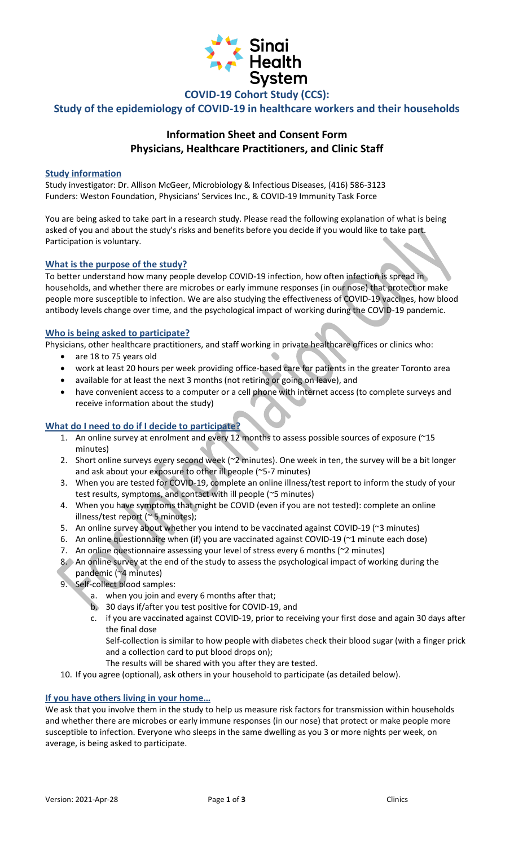

**COVID-19 Cohort Study (CCS):**

**Study of the epidemiology of COVID-19 in healthcare workers and their households** 

# **Information Sheet and Consent Form Physicians, Healthcare Practitioners, and Clinic Staff**

# **Study information**

Study investigator: Dr. Allison McGeer, Microbiology & Infectious Diseases, (416) 586-3123 Funders: Weston Foundation, Physicians' Services Inc., & COVID-19 Immunity Task Force

You are being asked to take part in a research study. Please read the following explanation of what is being asked of you and about the study's risks and benefits before you decide if you would like to take part. Participation is voluntary.

### **What is the purpose of the study?**

To better understand how many people develop COVID-19 infection, how often infection is spread in households, and whether there are microbes or early immune responses (in our nose) that protect or make people more susceptible to infection. We are also studying the effectiveness of COVID-19 vaccines, how blood antibody levels change over time, and the psychological impact of working during the COVID-19 pandemic.

### **Who is being asked to participate?**

Physicians, other healthcare practitioners, and staff working in private healthcare offices or clinics who:

- are 18 to 75 years old
- work at least 20 hours per week providing office-based care for patients in the greater Toronto area
- available for at least the next 3 months (not retiring or going on leave), and
- have convenient access to a computer or a cell phone with internet access (to complete surveys and receive information about the study)

# **What do I need to do if I decide to participate?**

- 1. An online survey at enrolment and every 12 months to assess possible sources of exposure (~15 minutes)
- 2. Short online surveys every second week (~2 minutes). One week in ten, the survey will be a bit longer and ask about your exposure to other ill people (~5-7 minutes)
- 3. When you are tested for COVID-19, complete an online illness/test report to inform the study of your test results, symptoms, and contact with ill people (~5 minutes)
- 4. When you have symptoms that might be COVID (even if you are not tested): complete an online illness/test report (~ 5 minutes);
- 5. An online survey about whether you intend to be vaccinated against COVID-19 (~3 minutes)
- 6. An online questionnaire when (if) you are vaccinated against COVID-19 (~1 minute each dose)
- 7. An online questionnaire assessing your level of stress every 6 months (~2 minutes)
- 8. An online survey at the end of the study to assess the psychological impact of working during the pandemic (~4 minutes)
- 9. Self-collect blood samples:
	- a. when you join and every 6 months after that;
	- b. 30 days if/after you test positive for COVID-19, and
	- c. if you are vaccinated against COVID-19, prior to receiving your first dose and again 30 days after the final dose

Self-collection is similar to how people with diabetes check their blood sugar (with a finger prick and a collection card to put blood drops on);

- The results will be shared with you after they are tested.
- 10. If you agree (optional), ask others in your household to participate (as detailed below).

# **If you have others living in your home…**

We ask that you involve them in the study to help us measure risk factors for transmission within households and whether there are microbes or early immune responses (in our nose) that protect or make people more susceptible to infection. Everyone who sleeps in the same dwelling as you 3 or more nights per week, on average, is being asked to participate.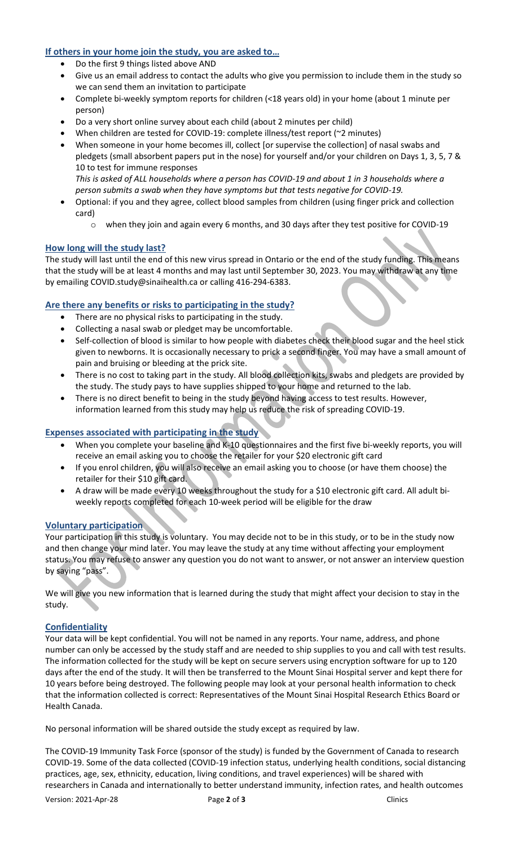# **If others in your home join the study, you are asked to…**

- Do the first 9 things listed above AND
- Give us an email address to contact the adults who give you permission to include them in the study so we can send them an invitation to participate
- Complete bi-weekly symptom reports for children (<18 years old) in your home (about 1 minute per person)
- Do a very short online survey about each child (about 2 minutes per child)
- When children are tested for COVID-19: complete illness/test report (~2 minutes)
- When someone in your home becomes ill, collect [or supervise the collection] of nasal swabs and pledgets (small absorbent papers put in the nose) for yourself and/or your children on Days 1, 3, 5, 7 & 10 to test for immune responses *This is asked of ALL households where a person has COVID-19 and about 1 in 3 households where a person submits a swab when they have symptoms but that tests negative for COVID-19.*
- Optional: if you and they agree, collect blood samples from children (using finger prick and collection card)
	- o when they join and again every 6 months, and 30 days after they test positive for COVID-19

### **How long will the study last?**

The study will last until the end of this new virus spread in Ontario or the end of the study funding. This means that the study will be at least 4 months and may last until September 30, 2023. You may withdraw at any time by emailing [COVID.study@sinaihealth.ca](mailto:COVID.study@sinaihealth.ca) or calling 416-294-6383.

# **Are there any benefits or risks to participating in the study?**

- There are no physical risks to participating in the study.
- Collecting a nasal swab or pledget may be uncomfortable.
- Self-collection of blood is similar to how people with diabetes check their blood sugar and the heel stick given to newborns. It is occasionally necessary to prick a second finger. You may have a small amount of pain and bruising or bleeding at the prick site.
- There is no cost to taking part in the study. All blood collection kits, swabs and pledgets are provided by the study. The study pays to have supplies shipped to your home and returned to the lab.
- There is no direct benefit to being in the study beyond having access to test results. However, information learned from this study may help us reduce the risk of spreading COVID-19.

#### **Expenses associated with participating in the study**

- When you complete your baseline and K-10 questionnaires and the first five bi-weekly reports, you will receive an email asking you to choose the retailer for your \$20 electronic gift card
- If you enrol children, you will also receive an email asking you to choose (or have them choose) the retailer for their \$10 gift card.
- A draw will be made every 10 weeks throughout the study for a \$10 electronic gift card. All adult biweekly reports completed for each 10-week period will be eligible for the draw

#### **Voluntary participation**

Your participation in this study is voluntary. You may decide not to be in this study, or to be in the study now and then change your mind later. You may leave the study at any time without affecting your employment status. You may refuse to answer any question you do not want to answer, or not answer an interview question by saying "pass".

We will give you new information that is learned during the study that might affect your decision to stay in the study.

#### **Confidentiality**

Your data will be kept confidential. You will not be named in any reports. Your name, address, and phone number can only be accessed by the study staff and are needed to ship supplies to you and call with test results. The information collected for the study will be kept on secure servers using encryption software for up to 120 days after the end of the study. It will then be transferred to the Mount Sinai Hospital server and kept there for 10 years before being destroyed. The following people may look at your personal health information to check that the information collected is correct: Representatives of the Mount Sinai Hospital Research Ethics Board or Health Canada.

No personal information will be shared outside the study except as required by law.

The COVID-19 Immunity Task Force (sponsor of the study) is funded by the Government of Canada to research COVID-19. Some of the data collected (COVID-19 infection status, underlying health conditions, social distancing practices, age, sex, ethnicity, education, living conditions, and travel experiences) will be shared with researchers in Canada and internationally to better understand immunity, infection rates, and health outcomes